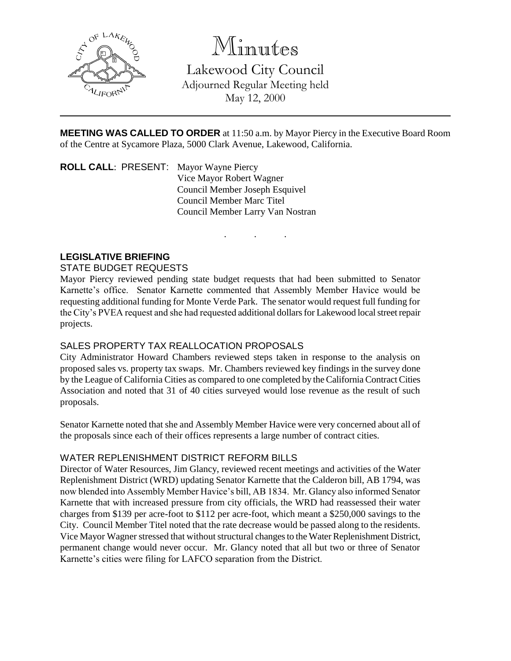

Minutes

Lakewood City Council Adjourned Regular Meeting held May 12, 2000

**MEETING WAS CALLED TO ORDER** at 11:50 a.m. by Mayor Piercy in the Executive Board Room of the Centre at Sycamore Plaza, 5000 Clark Avenue, Lakewood, California.

. . .

**ROLL CALL**: PRESENT: Mayor Wayne Piercy Vice Mayor Robert Wagner Council Member Joseph Esquivel Council Member Marc Titel Council Member Larry Van Nostran

# **LEGISLATIVE BRIEFING**

## STATE BUDGET REQUESTS

Mayor Piercy reviewed pending state budget requests that had been submitted to Senator Karnette's office. Senator Karnette commented that Assembly Member Havice would be requesting additional funding for Monte Verde Park. The senator would request full funding for the City's PVEA request and she had requested additional dollars for Lakewood local street repair projects.

## SALES PROPERTY TAX REALLOCATION PROPOSALS

City Administrator Howard Chambers reviewed steps taken in response to the analysis on proposed sales vs. property tax swaps. Mr. Chambers reviewed key findings in the survey done by the League of California Cities as compared to one completed by the California Contract Cities Association and noted that 31 of 40 cities surveyed would lose revenue as the result of such proposals.

Senator Karnette noted that she and Assembly Member Havice were very concerned about all of the proposals since each of their offices represents a large number of contract cities.

## WATER REPLENISHMENT DISTRICT REFORM BILLS

Director of Water Resources, Jim Glancy, reviewed recent meetings and activities of the Water Replenishment District (WRD) updating Senator Karnette that the Calderon bill, AB 1794, was now blended into Assembly Member Havice's bill, AB 1834. Mr. Glancy also informed Senator Karnette that with increased pressure from city officials, the WRD had reassessed their water charges from \$139 per acre-foot to \$112 per acre-foot, which meant a \$250,000 savings to the City. Council Member Titel noted that the rate decrease would be passed along to the residents. Vice Mayor Wagner stressed that without structural changes to the Water Replenishment District, permanent change would never occur. Mr. Glancy noted that all but two or three of Senator Karnette's cities were filing for LAFCO separation from the District.